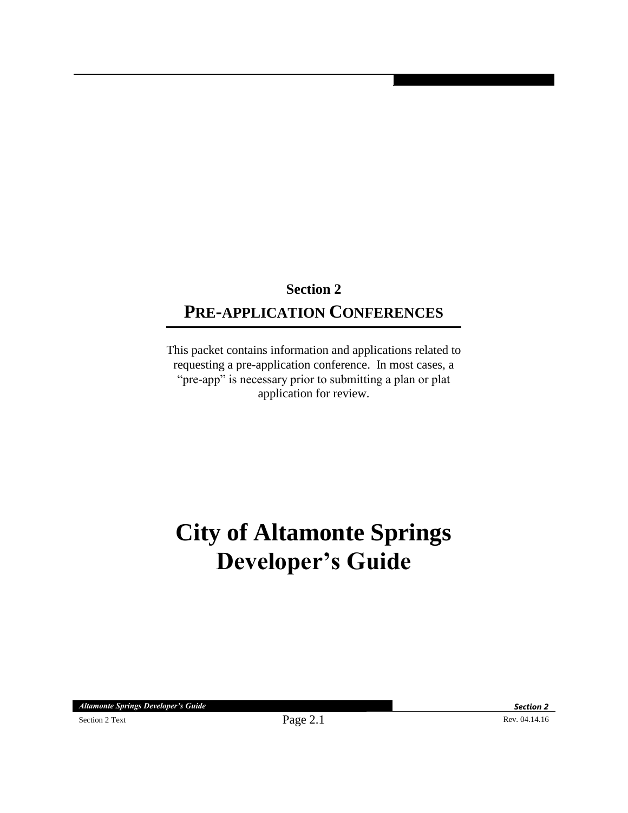## **Section 2 PRE-APPLICATION CONFERENCES**

This packet contains information and applications related to requesting a pre-application conference. In most cases, a "pre-app" is necessary prior to submitting a plan or plat application for review.

# **City of Altamonte Springs Developer's Guide**

*Altamonte Springs Developer's Guide Section 2*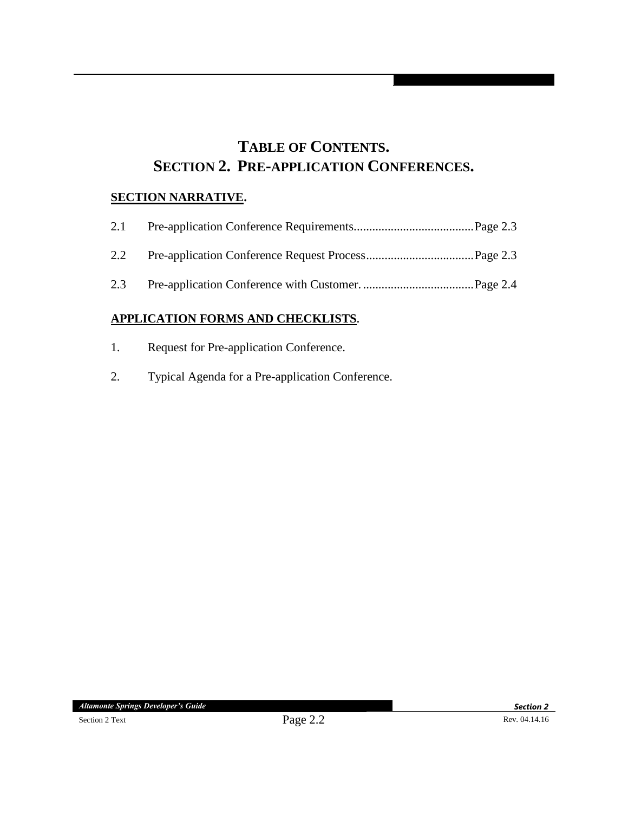### **TABLE OF CONTENTS. SECTION 2. PRE-APPLICATION CONFERENCES.**

#### **SECTION NARRATIVE.**

| 2.1 |  |
|-----|--|
| 2.2 |  |
| 2.3 |  |

#### **APPLICATION FORMS AND CHECKLISTS.**

- 1. Request for Pre-application Conference.
- 2. Typical Agenda for a Pre-application Conference.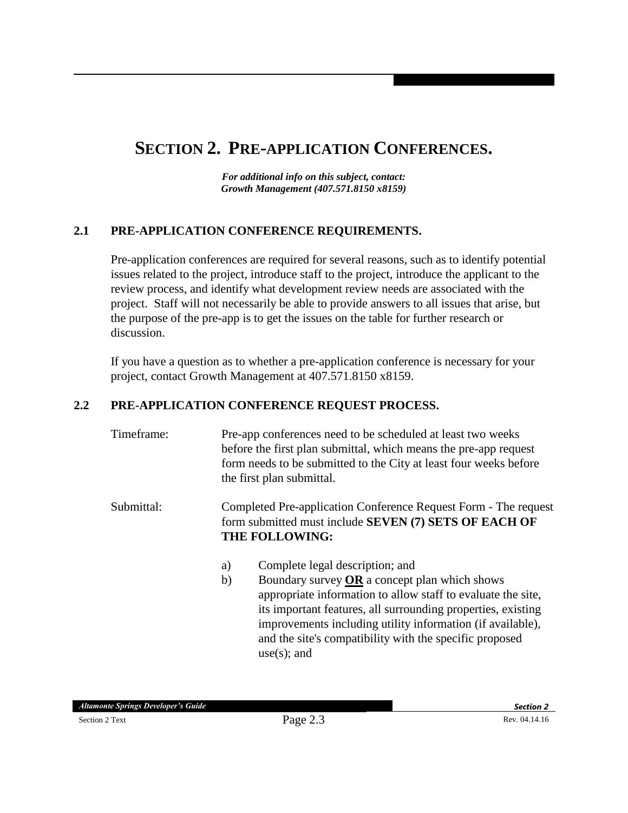## **SECTION 2. PRE-APPLICATION CONFERENCES.**

*For additional info on this subject, contact: Growth Management (407.571.8150 x8159)*

#### **2.1 PRE-APPLICATION CONFERENCE REQUIREMENTS.**

Pre-application conferences are required for several reasons, such as to identify potential issues related to the project, introduce staff to the project, introduce the applicant to the review process, and identify what development review needs are associated with the project. Staff will not necessarily be able to provide answers to all issues that arise, but the purpose of the pre-app is to get the issues on the table for further research or discussion.

If you have a question as to whether a pre-application conference is necessary for your project, contact Growth Management at 407.571.8150 x8159.

#### **2.2 PRE-APPLICATION CONFERENCE REQUEST PROCESS.**

| Timeframe: | Pre-app conferences need to be scheduled at least two weeks<br>before the first plan submittal, which means the pre-app request<br>form needs to be submitted to the City at least four weeks before<br>the first plan submittal. |                                                 |  |
|------------|-----------------------------------------------------------------------------------------------------------------------------------------------------------------------------------------------------------------------------------|-------------------------------------------------|--|
| Submittal: | Completed Pre-application Conference Request Form - The request<br>form submitted must include SEVEN (7) SETS OF EACH OF<br><b>THE FOLLOWING:</b>                                                                                 |                                                 |  |
|            | a)                                                                                                                                                                                                                                | Complete legal description; and                 |  |
|            | $\mathbf{b}$                                                                                                                                                                                                                      | Boundary survey $OR$ a concept plan which shows |  |

appropriate information to allow staff to evaluate the site, its important features, all surrounding properties, existing improvements including utility information (if available), and the site's compatibility with the specific proposed use(s); and

*Altamonte Springs Developer's Guide Section 2*